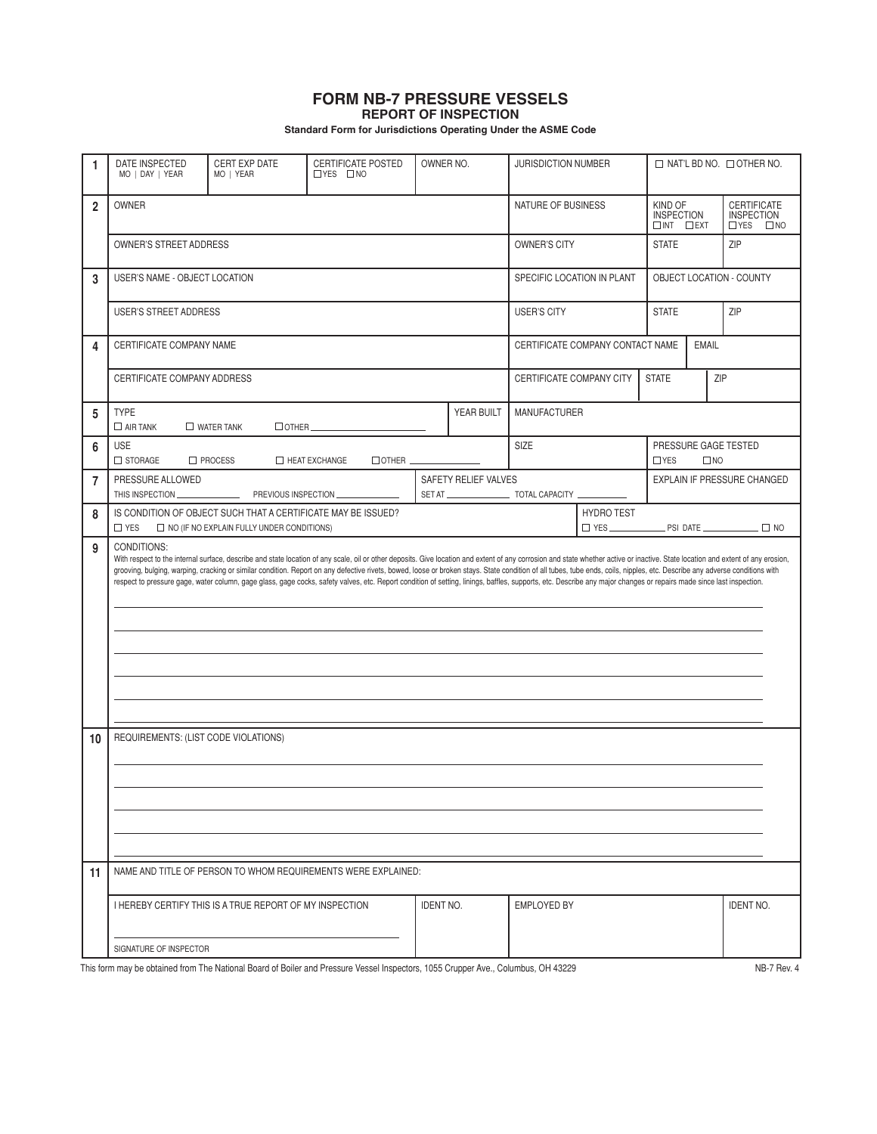## **FORM NB-7 PRESSURE VESSELS REPORT OF INSPECTION**

**Standard Form for Jurisdictions Operating Under the ASME Code**

| 1              | DATE INSPECTED<br>MO   DAY   YEAR                                                                                                                                                                                                                                                                                                                                                                                                                                                                                                                                                                                                                                                                   | CERT EXP DATE<br>MO   YEAR                                    | CERTIFICATE POSTED<br>$\Box$ YES $\Box$ NO | OWNER NO.                                          |                                                             | <b>JURISDICTION NUMBER</b> |                                                                       | $\Box$ NAT'L BD NO. $\Box$ OTHER NO. |  |                  |  |
|----------------|-----------------------------------------------------------------------------------------------------------------------------------------------------------------------------------------------------------------------------------------------------------------------------------------------------------------------------------------------------------------------------------------------------------------------------------------------------------------------------------------------------------------------------------------------------------------------------------------------------------------------------------------------------------------------------------------------------|---------------------------------------------------------------|--------------------------------------------|----------------------------------------------------|-------------------------------------------------------------|----------------------------|-----------------------------------------------------------------------|--------------------------------------|--|------------------|--|
| $\overline{2}$ | <b>OWNER</b>                                                                                                                                                                                                                                                                                                                                                                                                                                                                                                                                                                                                                                                                                        |                                                               | NATURE OF BUSINESS                         |                                                    | KIND OF<br><b>INSPECTION</b><br>$\square$ INT $\square$ EXT |                            | <b>CERTIFICATE</b><br><b>INSPECTION</b><br>$\Box$ YES<br>$\square$ NO |                                      |  |                  |  |
|                | OWNER'S STREET ADDRESS                                                                                                                                                                                                                                                                                                                                                                                                                                                                                                                                                                                                                                                                              |                                                               | <b>OWNER'S CITY</b>                        |                                                    | <b>STATE</b>                                                |                            | ZIP                                                                   |                                      |  |                  |  |
| 3              | USER'S NAME - OBJECT LOCATION                                                                                                                                                                                                                                                                                                                                                                                                                                                                                                                                                                                                                                                                       |                                                               | SPECIFIC LOCATION IN PLANT                 |                                                    | OBJECT LOCATION - COUNTY                                    |                            |                                                                       |                                      |  |                  |  |
|                | USER'S STREET ADDRESS                                                                                                                                                                                                                                                                                                                                                                                                                                                                                                                                                                                                                                                                               |                                                               | <b>USER'S CITY</b>                         | ZIP<br><b>STATE</b>                                |                                                             |                            |                                                                       |                                      |  |                  |  |
| 4              | CERTIFICATE COMPANY NAME                                                                                                                                                                                                                                                                                                                                                                                                                                                                                                                                                                                                                                                                            |                                                               | CERTIFICATE COMPANY CONTACT NAME           |                                                    | <b>EMAIL</b>                                                |                            |                                                                       |                                      |  |                  |  |
|                | CERTIFICATE COMPANY ADDRESS                                                                                                                                                                                                                                                                                                                                                                                                                                                                                                                                                                                                                                                                         |                                                               | CERTIFICATE COMPANY CITY                   | <b>STATE</b>                                       | ZIP                                                         |                            |                                                                       |                                      |  |                  |  |
| 5              | <b>TYPE</b><br>$\square$ AIR TANK                                                                                                                                                                                                                                                                                                                                                                                                                                                                                                                                                                                                                                                                   | $\square$ WATER TANK<br>$\Box$ OTHER $\Box$                   | <b>MANUFACTURER</b>                        |                                                    |                                                             |                            |                                                                       |                                      |  |                  |  |
| 6              | <b>USE</b><br>$\square$ STORAGE<br>$\square$ PROCESS                                                                                                                                                                                                                                                                                                                                                                                                                                                                                                                                                                                                                                                |                                                               | SIZE                                       | PRESSURE GAGE TESTED<br>$\square$ NO<br>$\Box$ YES |                                                             |                            |                                                                       |                                      |  |                  |  |
| 7              | PRESSURE ALLOWED<br>THIS INSPECTION                                                                                                                                                                                                                                                                                                                                                                                                                                                                                                                                                                                                                                                                 | PREVIOUS INSPECTION                                           | SAFETY RELIEF VALVES                       |                                                    | <b>EXPLAIN IF PRESSURE CHANGED</b>                          |                            |                                                                       |                                      |  |                  |  |
| 8              | IS CONDITION OF OBJECT SUCH THAT A CERTIFICATE MAY BE ISSUED?<br>$\square$ YES<br>$\Box$ NO (IF NO EXPLAIN FULLY UNDER CONDITIONS)                                                                                                                                                                                                                                                                                                                                                                                                                                                                                                                                                                  |                                                               | <b>HYDRO TEST</b>                          |                                                    |                                                             |                            |                                                                       |                                      |  |                  |  |
| 9              | CONDITIONS:<br>With respect to the internal surface, describe and state location of any scale, oil or other deposits. Give location and extent of any corrosion and state whether active or inactive. State location and extent of any erosio<br>grooving, bulging, warping, cracking or similar condition. Report on any defective rivets, bowed, loose or broken stays. State condition of all tubes, tube ends, coils, nipples, etc. Describe any adverse conditions with<br>respect to pressure gage, water column, gage glass, gage cocks, safety valves, etc. Report condition of setting, linings, baffles, supports, etc. Describe any major changes or repairs made since last inspection. |                                                               |                                            |                                                    |                                                             |                            |                                                                       |                                      |  |                  |  |
| 10             | REQUIREMENTS: (LIST CODE VIOLATIONS)                                                                                                                                                                                                                                                                                                                                                                                                                                                                                                                                                                                                                                                                |                                                               |                                            |                                                    |                                                             |                            |                                                                       |                                      |  |                  |  |
| 11             |                                                                                                                                                                                                                                                                                                                                                                                                                                                                                                                                                                                                                                                                                                     | NAME AND TITLE OF PERSON TO WHOM REQUIREMENTS WERE EXPLAINED: |                                            |                                                    |                                                             |                            |                                                                       |                                      |  |                  |  |
|                |                                                                                                                                                                                                                                                                                                                                                                                                                                                                                                                                                                                                                                                                                                     | I HEREBY CERTIFY THIS IS A TRUE REPORT OF MY INSPECTION       |                                            | <b>IDENT NO.</b>                                   |                                                             | <b>EMPLOYED BY</b>         |                                                                       |                                      |  | <b>IDENT NO.</b> |  |
|                | SIGNATURE OF INSPECTOR                                                                                                                                                                                                                                                                                                                                                                                                                                                                                                                                                                                                                                                                              |                                                               |                                            |                                                    |                                                             |                            |                                                                       |                                      |  |                  |  |

This form may be obtained from The National Board of Boiler and Pressure Vessel Inspectors, 1055 Crupper Ave., Columbus, OH 43229 NB-7 Rev. 4